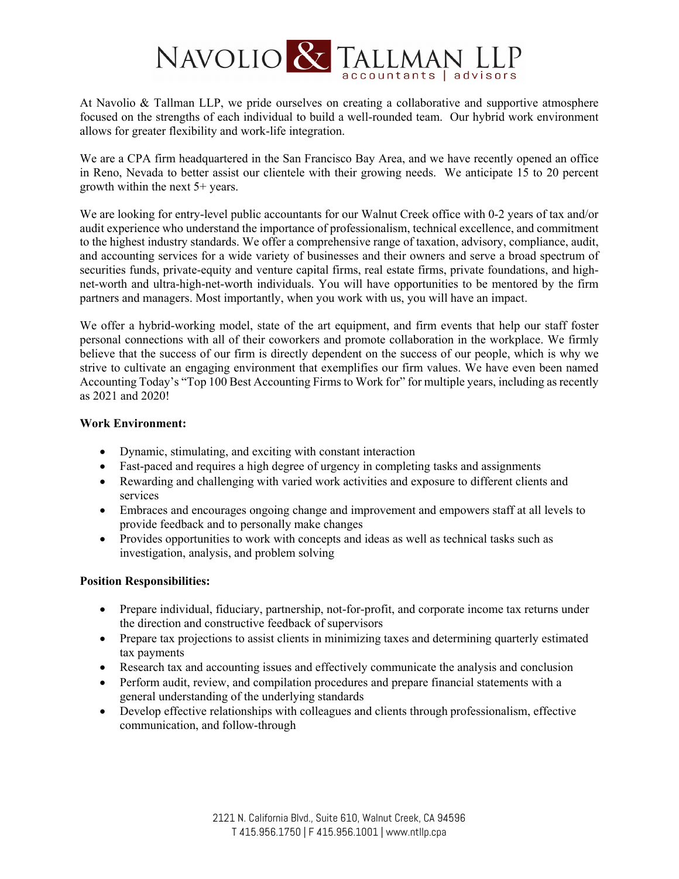

At Navolio & Tallman LLP, we pride ourselves on creating a collaborative and supportive atmosphere focused on the strengths of each individual to build a well-rounded team. Our hybrid work environment allows for greater flexibility and work-life integration.

We are a CPA firm headquartered in the San Francisco Bay Area, and we have recently opened an office in Reno, Nevada to better assist our clientele with their growing needs. We anticipate 15 to 20 percent growth within the next 5+ years.

We are looking for entry-level public accountants for our Walnut Creek office with 0-2 years of tax and/or audit experience who understand the importance of professionalism, technical excellence, and commitment to the highest industry standards. We offer a comprehensive range of taxation, advisory, compliance, audit, and accounting services for a wide variety of businesses and their owners and serve a broad spectrum of securities funds, private-equity and venture capital firms, real estate firms, private foundations, and highnet-worth and ultra-high-net-worth individuals. You will have opportunities to be mentored by the firm partners and managers. Most importantly, when you work with us, you will have an impact.

We offer a hybrid-working model, state of the art equipment, and firm events that help our staff foster personal connections with all of their coworkers and promote collaboration in the workplace. We firmly believe that the success of our firm is directly dependent on the success of our people, which is why we strive to cultivate an engaging environment that exemplifies our firm values. We have even been named Accounting Today's "Top 100 Best Accounting Firms to Work for" for multiple years, including as recently as 2021 and 2020!

## **Work Environment:**

- Dynamic, stimulating, and exciting with constant interaction
- Fast-paced and requires a high degree of urgency in completing tasks and assignments
- Rewarding and challenging with varied work activities and exposure to different clients and services
- Embraces and encourages ongoing change and improvement and empowers staff at all levels to provide feedback and to personally make changes
- Provides opportunities to work with concepts and ideas as well as technical tasks such as investigation, analysis, and problem solving

## **Position Responsibilities:**

- Prepare individual, fiduciary, partnership, not-for-profit, and corporate income tax returns under the direction and constructive feedback of supervisors
- Prepare tax projections to assist clients in minimizing taxes and determining quarterly estimated tax payments
- Research tax and accounting issues and effectively communicate the analysis and conclusion
- Perform audit, review, and compilation procedures and prepare financial statements with a general understanding of the underlying standards
- Develop effective relationships with colleagues and clients through professionalism, effective communication, and follow-through